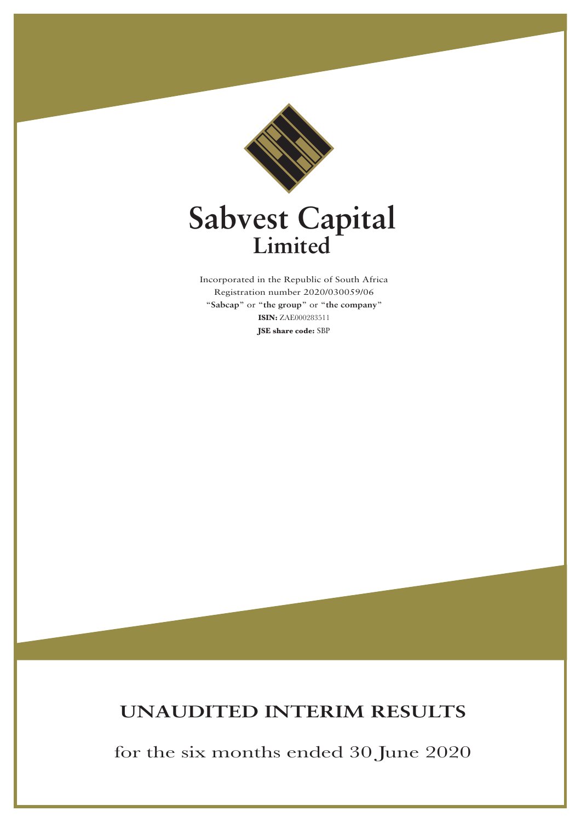

# **Sabvest Capital Limited**

Incorporated in the Republic of South Africa Registration number 2020/030059/06 "**Sabcap**" or "**the group**" or "**the company**" **ISIN:** ZAE000283511 **JSE share code:** SBP

# **UNAUDITED INTERIM RESULTS**

for the six months ended 30 June 2020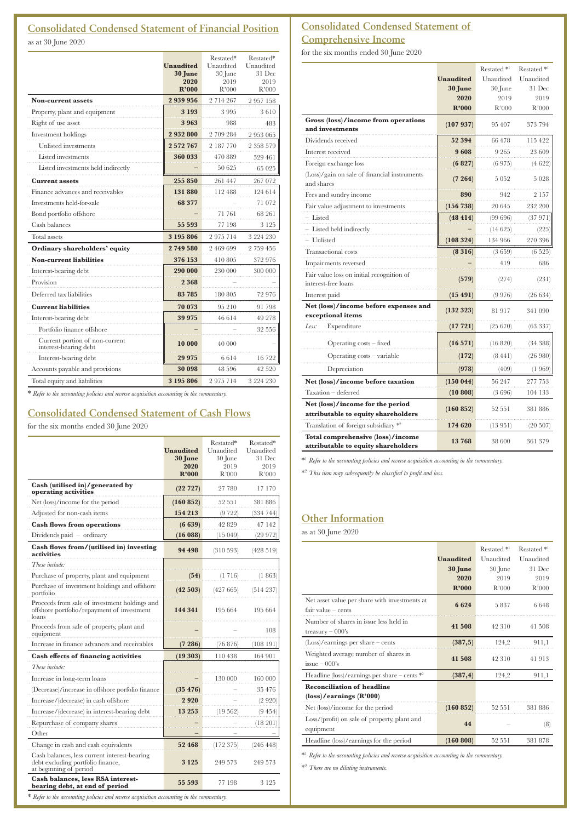# **Consolidated Condensed Statement of Financial Position**

as at 30 June 2020

|                                                         | <b>Unaudited</b><br>30 June<br>2020 | Restated*<br>Unaudited<br>30 June<br>2019 | Restated*<br>Unaudited<br>31 Dec<br>2019 |
|---------------------------------------------------------|-------------------------------------|-------------------------------------------|------------------------------------------|
|                                                         | R'000                               | R'000                                     | R'000                                    |
| <b>Non-current assets</b>                               | 2 939 956                           | 2 7 1 4 2 6 7                             | 2957158                                  |
| Property, plant and equipment                           | 3 1 9 3                             | 3995                                      | 3610                                     |
| Right of use asset                                      | 3963                                | 988                                       | 483                                      |
| Investment holdings                                     | 2932800                             | 2 709 284                                 | 2953065                                  |
| Unlisted investments                                    | 2 572 767                           | 2 187 770                                 | 2 358 579                                |
| Listed investments                                      | 360 033                             | 470 889                                   | 529 461                                  |
| Listed investments held indirectly                      |                                     | 50 625                                    | 65 025                                   |
| <b>Current assets</b>                                   | 255 850                             | 261 447                                   | 267 072                                  |
| Finance advances and receivables                        | 131 880                             | 112488                                    | 124 614                                  |
| Investments held-for-sale                               | 68 377                              |                                           | 71 072                                   |
| Bond portfolio offshore                                 |                                     | 71 761                                    | 68 261                                   |
| Cash balances                                           | 55 593                              | 77 198                                    | 3 1 2 5                                  |
| Total assets                                            | 3 195 806                           | 2975714                                   | 3 224 230                                |
| Ordinary shareholders' equity                           | 2749580                             | 2 469 699                                 | 2 759 456                                |
| <b>Non-current liabilities</b>                          | 376 153                             | 410 805                                   | 372 976                                  |
| Interest-bearing debt                                   | 290 000                             | 230 000                                   | 300 000                                  |
| Provision                                               | 2 3 6 8                             |                                           |                                          |
| Deferred tax liabilities                                | 83 785                              | 180 805                                   | 72 976                                   |
| <b>Current liabilities</b>                              | 70 073                              | 95 210                                    | 91 798                                   |
| Interest-bearing debt                                   | 39 975                              | 46 614                                    | 49 278                                   |
| Portfolio finance offshore                              |                                     |                                           | 32 556                                   |
| Current portion of non-current<br>interest-bearing debt | 10 000                              | 40 000                                    |                                          |
| Interest-bearing debt                                   | 29 975                              | 6614                                      | 16 722                                   |
| Accounts payable and provisions                         | 30 098                              | 48 596                                    | 42 5 20                                  |
| Total equity and liabilities                            | 3 195 806                           | 2975714                                   | 3 224 230                                |

\* *Refer to the accounting policies and reverse acquisition accounting in the commentary.*

# **Consolidated Condensed Statement of Cash Flows**

for the six months ended 30 June 2020

|                                                                                                             | <b>Unaudited</b><br>30 June<br>2020<br>R'000 | Restated*<br>Unaudited<br>30 June<br>2019<br>R'000 | Restated*<br>Unaudited<br>31 Dec<br>2019<br>R'000 |
|-------------------------------------------------------------------------------------------------------------|----------------------------------------------|----------------------------------------------------|---------------------------------------------------|
| Cash (utilised in)/generated by<br>operating activities                                                     | (22727)                                      | 27 780                                             | 17 170                                            |
| Net (loss)/income for the period                                                                            | (160 852)                                    | 52 551                                             | 381 886                                           |
| Adjusted for non-cash items                                                                                 | 154 213                                      | (9722)                                             | (334 744)                                         |
| <b>Cash flows from operations</b>                                                                           | (6639)                                       | 42829                                              | 47 142                                            |
| Dividends paid $-$ ordinary                                                                                 | (16088)                                      | (15049)                                            | (29972)                                           |
| Cash flows from/(utilised in) investing<br>activities                                                       | 94 498                                       | (310 593)                                          | (428519)                                          |
| These include:                                                                                              |                                              |                                                    |                                                   |
| Purchase of property, plant and equipment                                                                   | (54)                                         | (1716)                                             | (1863)                                            |
| Purchase of investment holdings and offshore<br>portfolio                                                   | (42503)                                      | (427665)                                           | (514237)                                          |
| Proceeds from sale of investment holdings and<br>offshore portfolio/repayment of investment<br>loans        | 144 341                                      | 195 664                                            | 195 664                                           |
| Proceeds from sale of property, plant and<br>equipment                                                      |                                              |                                                    | 108                                               |
| Increase in finance advances and receivables                                                                | (7286)                                       | (76876)                                            | (108 191                                          |
| <b>Cash effects of financing activities</b>                                                                 | (19303)                                      | 110438                                             | 164 901                                           |
| These include:                                                                                              |                                              |                                                    |                                                   |
| Increase in long-term loans                                                                                 |                                              | 130 000                                            | 160 000                                           |
| (Decrease)/increase in offshore porfolio finance                                                            | (35, 476)                                    |                                                    | 35 476                                            |
| Increase/(decrease) in cash offshore                                                                        | 2920                                         |                                                    | (2920)                                            |
| Increase/(decrease) in interest-bearing debt                                                                | 13 25 3                                      | (19.562)                                           | (9454)                                            |
| Repurchase of company shares                                                                                |                                              |                                                    | (18 201)                                          |
| Other                                                                                                       |                                              |                                                    |                                                   |
| Change in cash and cash equivalents                                                                         | 52 468                                       | (172375)                                           | (246 448)                                         |
| Cash balances, less current interest-bearing<br>debt excluding portfolio finance,<br>at beginning of period | 3 1 2 5                                      | 249 573                                            | 249 573                                           |
| Cash balances, less RSA interest-<br>bearing debt, at end of period                                         | 55 593                                       | 77 198                                             | 3 1 2 5                                           |

# **Consolidated Condensed Statement of Comprehensive Income**

for the six months ended 30 June 2020

|                                                                          |                  | Restated <sup>*1</sup> | Restated <sup>*1</sup> |
|--------------------------------------------------------------------------|------------------|------------------------|------------------------|
|                                                                          | <b>Unaudited</b> | Unaudited              | Unaudited              |
|                                                                          | 30 June          | 30 June                | 31 Dec                 |
|                                                                          | 2020             | 2019                   | 2019                   |
|                                                                          | R'000            | R'000                  | R'000                  |
| Gross (loss)/income from operations<br>and investments                   | (107937)         | 95 407                 | 373 794                |
| Dividends received                                                       | 52 394           | 66478                  | 115422                 |
| Interest received                                                        | 9608             | 9 2 6 5                | 23 609                 |
| Foreign exchange loss                                                    | (6827)           | (6975)                 | (4 622)                |
| (Loss)/gain on sale of financial instruments<br>and shares               | (7264)           | 5 0 5 2                | 5028                   |
| Fees and sundry income                                                   | 890              | 942                    | 2 157                  |
| Fair value adjustment to investments                                     | (156 738)        | 20 645                 | 232 200                |
| - Listed                                                                 | (48 414)         | (99696)                | (37 971)               |
| - Listed held indirectly                                                 |                  | (14625)                | (225)                  |
| - Unlisted                                                               | (108324)         | 134 966                | 270 396                |
| <b>Transactional</b> costs                                               | (8316)           | (3659)                 | (6525)                 |
| Impairments reversed                                                     |                  | 419                    | 686                    |
| Fair value loss on initial recognition of<br>interest-free loans         | (579)            | (274)                  | (231)                  |
| Interest paid                                                            | (15491)          | (9976)                 | (26634)                |
| Net (loss)/income before expenses and<br>exceptional items               | (132 323)        | 81917                  | 341 090                |
| Expenditure<br>Less:                                                     | (17 721)         | $(25\;670)$            | (63 337)               |
| Operating costs - fixed                                                  | (16571)          | (16 820)               | (34388)                |
| Operating costs - variable                                               | (172)            | (8441)                 | (26980)                |
| Depreciation                                                             | (978)            | (409)                  | (1 969)                |
| Net (loss)/income before taxation                                        | (150044)         | 56 247                 | 277 753                |
| Taxation - deferred                                                      | (10 808)         | (3696)                 | 104 133                |
| Net (loss)/income for the period<br>attributable to equity shareholders  | (160 852)        | 52 551                 | 381 886                |
| Translation of foreign subsidiary *2                                     | 174 620          | (13 951)               | (20 507)               |
| Total comprehensive (loss)/income<br>attributable to equity shareholders | 13768            | 38 600                 | 361 379                |

\*1 *Refer to the accounting policies and reverse acquisition accounting in the commentary.*

\*2 *This item may subsequently be classified to profit and loss.*

# **Other Information**

as at 30 June 2020

|                                                                       |                  | Restated <sup>*1</sup> | Restated <sup>*1</sup> |
|-----------------------------------------------------------------------|------------------|------------------------|------------------------|
|                                                                       | <b>Unaudited</b> | Unaudited              | Unaudited              |
|                                                                       | 30 June          | 30 June                | 31 Dec                 |
|                                                                       | 2020             | 2019                   | 2019                   |
|                                                                       | R'000            | R'000                  | R'000                  |
| Net asset value per share with investments at<br>$fair value - cents$ | 6624             | 5837                   | 6648                   |
| Number of shares in issue less held in<br>treasury $-000$ 's          | 41 508           | 42 310                 | 41 508                 |
| $(Loss)/earnings$ per share – cents                                   | (387,5)          | 124,2                  | 911,1                  |
| Weighted average number of shares in<br>$issue - 000's$               | 41508            | 42 310                 | 41913                  |
| Headline (loss)/earnings per share – cents $*$ <sup>2</sup>           | (387, 4)         | 124,2                  | 911,1                  |
| <b>Reconciliation of headline</b>                                     |                  |                        |                        |
| $(\text{loss})$ /earnings $(\mathbb{R}^3000)$                         |                  |                        |                        |
| Net (loss)/income for the period                                      | (160 852)        | 52 551                 | 381886                 |
| Loss/(profit) on sale of property, plant and<br>equipment             | 44               |                        | (8)                    |
| Headline (loss)/earnings for the period                               | (160 808)        | 52 551                 | 381878                 |

\*1 *Refer to the accounting policies and reverse acquisition accounting in the commentary.*

\*2 *There are no diluting instruments.*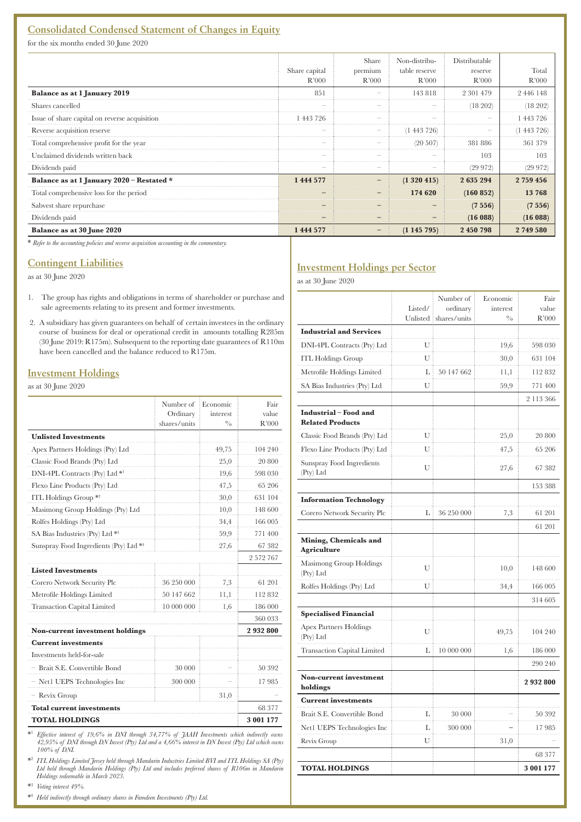## **Consolidated Condensed Statement of Changes in Equity**

for the six months ended 30 June 2020

|                                               | Share capital<br>R'000 | Share<br>premium<br>R'000 | Non-distribu-<br>table reserve<br>R'000 | Distributable<br>reserve<br>R'000 | Total<br>R'000 |
|-----------------------------------------------|------------------------|---------------------------|-----------------------------------------|-----------------------------------|----------------|
| Balance as at 1 January 2019                  | 851                    |                           | 143818                                  | 2 301 479                         | 2 446 148      |
| Shares cancelled                              |                        |                           |                                         | (18 202)                          | 18 202         |
| Issue of share capital on reverse acquisition | 443 796                |                           |                                         |                                   | -443 796       |
| Reverse acquisition reserve                   |                        |                           | 1 443 726                               |                                   | -443           |
| Total comprehensive profit for the year       |                        |                           | $(20\ 507)$                             | 381 886                           | 361            |
| Unclaimed dividends written back              |                        |                           |                                         | 103                               | 103            |
| Dividends paid                                |                        |                           |                                         | (29972)                           | (29 972)       |
| Balance as at 1 January 2020 - Restated *     | 1 444 577              |                           | (1320415)                               | 2 635 294                         | 2 759 456      |
| Total comprehensive loss for the period       |                        |                           | 174 620                                 | (160 852)                         | 13768          |
| Sabvest share repurchase                      |                        |                           |                                         | (7556)                            | (7556)         |
| Dividends paid                                |                        |                           |                                         | (16088)                           | (16088)        |
| Balance as at 30 June 2020                    | 1 444 577              |                           | (1145795)                               | 2 450 798                         | 2749580        |

\* *Refer to the accounting policies and reverse acquisition accounting in the commentary.*

### **Contingent Liabilities**

as at 30 June 2020

- 1. The group has rights and obligations in terms of shareholder or purchase and sale agreements relating to its present and former investments.
- 2. A subsidiary has given guarantees on behalf of certain investees in the ordinary course of business for deal or operational credit in amounts totalling R285m (30 June 2019: R175m). Subsequent to the reporting date guarantees of R110m have been cancelled and the balance reduced to R175m.

#### **Investment Holdings**

as at 30 June 2020

|                                        | Number of<br>Ordinary<br>shares/units | Economic<br>interest<br>$^{0/6}$ | Fair<br>value<br>R'000 |
|----------------------------------------|---------------------------------------|----------------------------------|------------------------|
| <b>Unlisted Investments</b>            |                                       |                                  |                        |
| Apex Partners Holdings (Pty) Ltd       |                                       | 49,75                            | 104 240                |
| Classic Food Brands (Pty) Ltd          |                                       | 25,0                             | 20 800                 |
| DNI-4PL Contracts (Pty) Ltd *1         |                                       | 19,6                             | 598 030                |
| Flexo Line Products (Pty) Ltd          |                                       | 47,5                             | 65 206                 |
| ITL Holdings Group <sup>*2</sup>       |                                       | 30,0                             | 631 104                |
| Masimong Group Holdings (Pty) Ltd      |                                       | 10,0                             | 148 600                |
| Rolfes Holdings (Pty) Ltd              |                                       | 34,4                             | 166 005                |
| SA Bias Industries (Pty) Ltd *3        |                                       | 59,9                             | 771 400                |
| Sunspray Food Ingredients (Pty) Ltd *  |                                       | 27,6                             | 67 382                 |
|                                        |                                       |                                  | 2 572 767              |
| <b>Listed Investments</b>              |                                       |                                  |                        |
| Corero Network Security Plc            | 36 250 000                            | 7,3                              | 61 201                 |
| Metrofile Holdings Limited             | 50 147 662                            | 11,1                             | 112 832                |
| <b>Transaction Capital Limited</b>     | 10 000 000                            | 1,6                              | 186 000                |
|                                        |                                       |                                  | 360 033                |
| <b>Non-current investment holdings</b> |                                       |                                  | 2932800                |
| <b>Current investments</b>             |                                       |                                  |                        |
| Investments held-for-sale              |                                       |                                  |                        |
| - Brait S.E. Convertible Bond          | 30 000                                |                                  | 50 392                 |
| - Net1 UEPS Technologies Inc           | 300 000                               |                                  | 17985                  |
| - Revix Group                          |                                       | 31,0                             |                        |
| <b>Total current investments</b>       |                                       |                                  | 68 377                 |
| <b>TOTAL HOLDINGS</b>                  |                                       |                                  | 3 001 177              |

\*1 *Effective interest of 19,6% in DNI through 34,77% of JAAH Investments which indirectly owns 42,95% of DNI through DN Invest (Pty) Ltd and a 4,66% interest in DN Invest (Pty) Ltd which owns 100% of DNI.*

\*2  *ITL Holdings Limited Jersey held through Mandarin Industries Limited BVI and ITL Holdings SA (Pty) Ltd held through Mandarin Holdings (Pty) Ltd and includes preferred shares of R106m in Mandarin Holdings redeemable in March 2023.*

\*3  *Voting interest 49%.*

\*4  *Held indirectly through ordinary shares in Famdeen Investments (Pty) Ltd.*

### **Investment Holdings per Sector**

as at 30 June 2020

|                                                  | Listed/ | Number of<br>ordinary<br>Unlisted shares/units | Economic<br>interest<br>$^{0}/_{0}$ | Fair<br>value<br>R'000 |
|--------------------------------------------------|---------|------------------------------------------------|-------------------------------------|------------------------|
| <b>Industrial and Services</b>                   |         |                                                |                                     |                        |
| DNI-4PL Contracts (Pty) Ltd                      | U       |                                                | 19,6                                | 598 030                |
| <b>ITL Holdings Group</b>                        | U       |                                                | 30,0                                | 631 104                |
| Metrofile Holdings Limited                       | L       | 50 147 662                                     | 11,1                                | 112832                 |
| SA Bias Industries (Pty) Ltd                     | U       |                                                | 59,9                                | 771 400                |
|                                                  |         |                                                |                                     | 2 113 366              |
| Industrial - Food and<br><b>Related Products</b> |         |                                                |                                     |                        |
| Classic Food Brands (Pty) Ltd                    | U       |                                                | 25,0                                | 20 800                 |
| Flexo Line Products (Pty) Ltd                    | U       |                                                | 47,5                                | 65 206                 |
| Sunspray Food Ingredients<br>(Pty) Ltd           | U       |                                                | 27,6                                | 67 382                 |
|                                                  |         |                                                |                                     | 153 388                |
| <b>Information Technology</b>                    |         |                                                |                                     |                        |
| Corero Network Security Plc                      | L       | 36 250 000                                     | 7,3                                 | 61 201                 |
|                                                  |         |                                                |                                     | 61 201                 |
| Mining, Chemicals and<br>Agriculture             |         |                                                |                                     |                        |
| Masimong Group Holdings<br>(Pty) Ltd             | U       |                                                | 10,0                                | 148 600                |
| Rolfes Holdings (Pty) Ltd                        | U       |                                                | 34,4                                | 166 005                |
|                                                  |         |                                                |                                     | 314 605                |
| <b>Specialised Financial</b>                     |         |                                                |                                     |                        |
| <b>Apex Partners Holdings</b><br>(Pty) Ltd       | U       |                                                | 49,75                               | 104 240                |
| <b>Transaction Capital Limited</b>               | L       | 10 000 000                                     | 1,6                                 | 186 000                |
|                                                  |         |                                                |                                     | 290 240                |
| Non-current investment<br>holdings               |         |                                                |                                     | 2932800                |
| <b>Current investments</b>                       |         |                                                |                                     |                        |
| Brait S.E. Convertible Bond                      | L       | 30 000                                         |                                     | 50 392                 |
| Net1 UEPS Technologies Inc                       | L       | 300 000                                        |                                     | 17985                  |
| Revix Group                                      | U       |                                                | 31,0                                |                        |
|                                                  |         |                                                |                                     | 68 377                 |
| <b>TOTAL HOLDINGS</b>                            |         |                                                |                                     | 3 001 177              |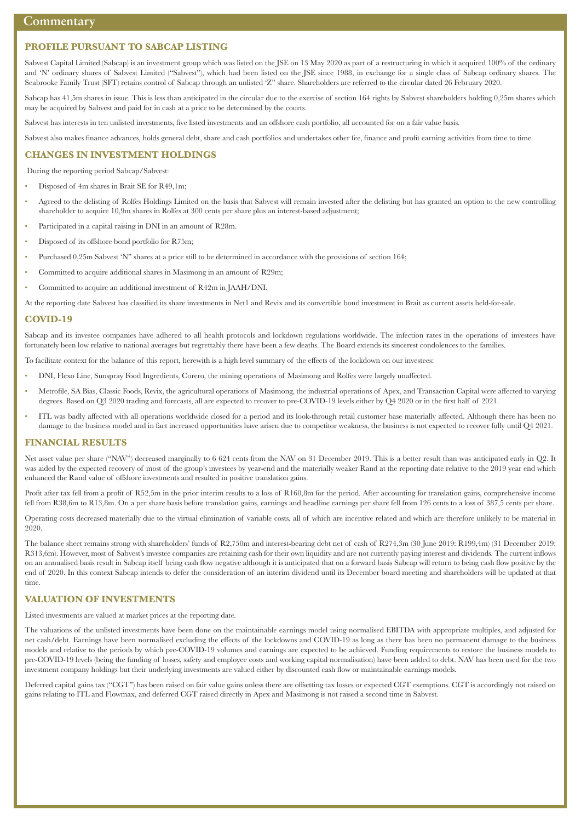#### **PROFILE PURSUANT TO SABCAP LISTING**

Sabvest Capital Limited (Sabcap) is an investment group which was listed on the JSE on 13 May 2020 as part of a restructuring in which it acquired 100% of the ordinary and 'N' ordinary shares of Sabvest Limited ("Sabvest"), which had been listed on the JSE since 1988, in exchange for a single class of Sabcap ordinary shares. The Seabrooke Family Trust (SFT) retains control of Sabcap through an unlisted 'Z" share. Shareholders are referred to the circular dated 26 February 2020.

Sabcap has 41,5m shares in issue. This is less than anticipated in the circular due to the exercise of section 164 rights by Sabvest shareholders holding 0,25m shares which may be acquired by Sabvest and paid for in cash at a price to be determined by the courts.

Sabvest has interests in ten unlisted investments, five listed investments and an offshore cash portfolio, all accounted for on a fair value basis.

Sabvest also makes finance advances, holds general debt, share and cash portfolios and undertakes other fee, finance and profit earning activities from time to time.

#### **CHANGES IN INVESTMENT HOLDINGS**

During the reporting period Sabcap/Sabvest:

- Disposed of 4m shares in Brait SE for R49,1m;
- Agreed to the delisting of Rolfes Holdings Limited on the basis that Sabvest will remain invested after the delisting but has granted an option to the new controlling shareholder to acquire 10,9m shares in Rolfes at 300 cents per share plus an interest-based adjustment;
- Participated in a capital raising in DNI in an amount of R28m.
- Disposed of its offshore bond portfolio for R75m;
- Purchased 0,25m Sabvest 'N" shares at a price still to be determined in accordance with the provisions of section 164;
- Committed to acquire additional shares in Masimong in an amount of R29m;
- Committed to acquire an additional investment of R42m in JAAH/DNI.

At the reporting date Sabvest has classified its share investments in Net1 and Revix and its convertible bond investment in Brait as current assets held-for-sale.

#### **COVID-19**

Sabcap and its investee companies have adhered to all health protocols and lockdown regulations worldwide. The infection rates in the operations of investees have fortunately been low relative to national averages but regrettably there have been a few deaths. The Board extends its sincerest condolences to the families.

To facilitate context for the balance of this report, herewith is a high level summary of the effects of the lockdown on our investees:

- DNI, Flexo Line, Sunspray Food Ingredients, Corero, the mining operations of Masimong and Rolfes were largely unaffected.
- Metrofile, SA Bias, Classic Foods, Revix, the agricultural operations of Masimong, the industrial operations of Apex, and Transaction Capital were affected to varying degrees. Based on Q3 2020 trading and forecasts, all are expected to recover to pre-COVID-19 levels either by Q4 2020 or in the first half of 2021.
- ITL was badly affected with all operations worldwide closed for a period and its look-through retail customer base materially affected. Although there has been no damage to the business model and in fact increased opportunities have arisen due to competitor weakness, the business is not expected to recover fully until Q4 2021.

#### **FINANCIAL RESULTS**

Net asset value per share ("NAV") decreased marginally to 6 624 cents from the NAV on 31 December 2019. This is a better result than was anticipated early in Q2. It was aided by the expected recovery of most of the group's investees by year-end and the materially weaker Rand at the reporting date relative to the 2019 year end which enhanced the Rand value of offshore investments and resulted in positive translation gains.

Profit after tax fell from a profit of R52,5m in the prior interim results to a loss of R160,8m for the period. After accounting for translation gains, comprehensive income fell from R38,6m to R13,8m. On a per share basis before translation gains, earnings and headline earnings per share fell from 126 cents to a loss of 387,5 cents per share.

Operating costs decreased materially due to the virtual elimination of variable costs, all of which are incentive related and which are therefore unlikely to be material in 2020.

The balance sheet remains strong with shareholders' funds of R2,750m and interest-bearing debt net of cash of R274,3m (30 June 2019: R199,4m) (31 December 2019: R313,6m). However, most of Sabvest's investee companies are retaining cash for their own liquidity and are not currently paying interest and dividends. The current inflows on an annualised basis result in Sabcap itself being cash flow negative although it is anticipated that on a forward basis Sabcap will return to being cash flow positive by the end of 2020. In this context Sabcap intends to defer the consideration of an interim dividend until its December board meeting and shareholders will be updated at that time.

#### **VALUATION OF INVESTMENTS**

Listed investments are valued at market prices at the reporting date.

The valuations of the unlisted investments have been done on the maintainable earnings model using normalised EBITDA with appropriate multiples, and adjusted for net cash/debt. Earnings have been normalised excluding the effects of the lockdowns and COVID-19 as long as there has been no permanent damage to the business models and relative to the periods by which pre-COVID-19 volumes and earnings are expected to be achieved. Funding requirements to restore the business models to pre-COVID-19 levels (being the funding of losses, safety and employee costs and working capital normalisation) have been added to debt. NAV has been used for the two investment company holdings but their underlying investments are valued either by discounted cash flow or maintainable earnings models.

Deferred capital gains tax ("CGT") has been raised on fair value gains unless there are offsetting tax losses or expected CGT exemptions. CGT is accordingly not raised on gains relating to ITL and Flowmax, and deferred CGT raised directly in Apex and Masimong is not raised a second time in Sabvest.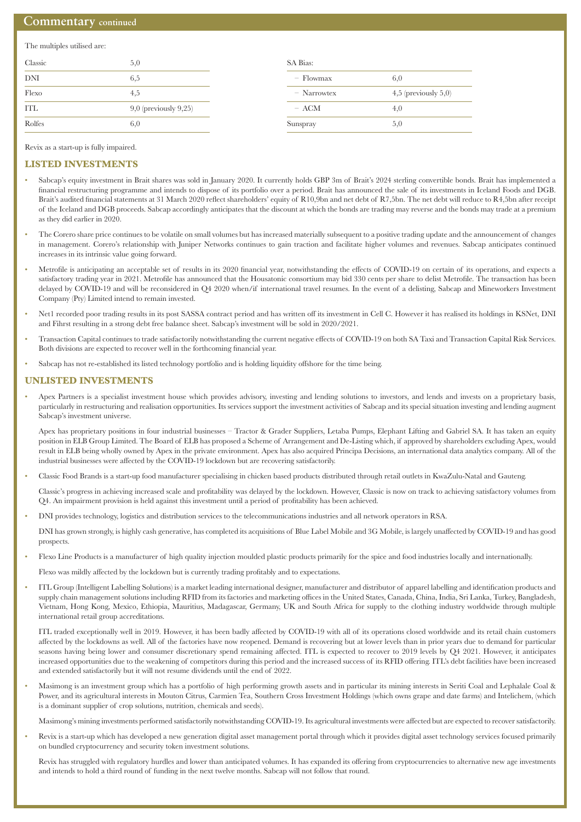#### **Commentary continued**

The multiples utilised are:

| Classic    | 5,0                        | SA Bias:      |                           |
|------------|----------------------------|---------------|---------------------------|
| <b>DNI</b> | 6,5                        | $-$ Flowmax   | 6,0                       |
| Flexo      | 4,5                        | $-$ Narrowtex | $4,5$ (previously $5,0$ ) |
| <b>ITL</b> | $9,0$ (previously $9,25$ ) | $- ACM$       | 4,0                       |
| Rolfes     | 6,0                        | Sunspray      | 5,0                       |

Revix as a start-up is fully impaired.

#### **LISTED INVESTMENTS**

- Sabcap's equity investment in Brait shares was sold in January 2020. It currently holds GBP 3m of Brait's 2024 sterling convertible bonds. Brait has implemented a financial restructuring programme and intends to dispose of its portfolio over a period. Brait has announced the sale of its investments in Iceland Foods and DGB. Brait's audited financial statements at 31 March 2020 reflect shareholders' equity of R10,9bn and net debt of R7,5bn. The net debt will reduce to R4,5bn after receipt of the Iceland and DGB proceeds. Sabcap accordingly anticipates that the discount at which the bonds are trading may reverse and the bonds may trade at a premium as they did earlier in 2020.
- The Corero share price continues to be volatile on small volumes but has increased materially subsequent to a positive trading update and the announcement of changes in management. Corero's relationship with Juniper Networks continues to gain traction and facilitate higher volumes and revenues. Sabcap anticipates continued increases in its intrinsic value going forward.
- Metrofile is anticipating an acceptable set of results in its 2020 financial year, notwithstanding the effects of COVID-19 on certain of its operations, and expects a satisfactory trading year in 2021. Metrofile has announced that the Housatonic consortium may bid 330 cents per share to delist Metrofile. The transaction has been delayed by COVID-19 and will be reconsidered in Q4 2020 when/if international travel resumes. In the event of a delisting, Sabcap and Mineworkers Investment Company (Pty) Limited intend to remain invested.
- Net1 recorded poor trading results in its post SASSA contract period and has written off its investment in Cell C. However it has realised its holdings in KSNet, DNI and Fihrst resulting in a strong debt free balance sheet. Sabcap's investment will be sold in 2020/2021.
- Transaction Capital continues to trade satisfactorily notwithstanding the current negative effects of COVID-19 on both SA Taxi and Transaction Capital Risk Services. Both divisions are expected to recover well in the forthcoming financial year.
- Sabcap has not re-established its listed technology portfolio and is holding liquidity offshore for the time being.

#### **UNLISTED INVESTMENTS**

• Apex Partners is a specialist investment house which provides advisory, investing and lending solutions to investors, and lends and invests on a proprietary basis, particularly in restructuring and realisation opportunities. Its services support the investment activities of Sabcap and its special situation investing and lending augment Sabcap's investment universe.

 Apex has proprietary positions in four industrial businesses – Tractor & Grader Suppliers, Letaba Pumps, Elephant Lifting and Gabriel SA. It has taken an equity position in ELB Group Limited. The Board of ELB has proposed a Scheme of Arrangement and De-Listing which, if approved by shareholders excluding Apex, would result in ELB being wholly owned by Apex in the private environment. Apex has also acquired Principa Decisions, an international data analytics company. All of the industrial businesses were affected by the COVID-19 lockdown but are recovering satisfactorily.

• Classic Food Brands is a start-up food manufacturer specialising in chicken based products distributed through retail outlets in KwaZulu-Natal and Gauteng.

Classic's progress in achieving increased scale and profitability was delayed by the lockdown. However, Classic is now on track to achieving satisfactory volumes from Q4. An impairment provision is held against this investment until a period of profitability has been achieved.

• DNI provides technology, logistics and distribution services to the telecommunications industries and all network operators in RSA.

DNI has grown strongly, is highly cash generative, has completed its acquisitions of Blue Label Mobile and 3G Mobile, is largely unaffected by COVID-19 and has good prospects.

• Flexo Line Products is a manufacturer of high quality injection moulded plastic products primarily for the spice and food industries locally and internationally.

Flexo was mildly affected by the lockdown but is currently trading profitably and to expectations.

• ITL Group (Intelligent Labelling Solutions) is a market leading international designer, manufacturer and distributor of apparel labelling and identification products and supply chain management solutions including RFID from its factories and marketing offices in the United States, Canada, China, India, Sri Lanka, Turkey, Bangladesh, Vietnam, Hong Kong, Mexico, Ethiopia, Mauritius, Madagascar, Germany, UK and South Africa for supply to the clothing industry worldwide through multiple international retail group accreditations.

ITL traded exceptionally well in 2019. However, it has been badly affected by COVID-19 with all of its operations closed worldwide and its retail chain customers affected by the lockdowns as well. All of the factories have now reopened. Demand is recovering but at lower levels than in prior years due to demand for particular seasons having being lower and consumer discretionary spend remaining affected. ITL is expected to recover to 2019 levels by Q4 2021. However, it anticipates increased opportunities due to the weakening of competitors during this period and the increased success of its RFID offering. ITL's debt facilities have been increased and extended satisfactorily but it will not resume dividends until the end of 2022.

• Masimong is an investment group which has a portfolio of high performing growth assets and in particular its mining interests in Seriti Coal and Lephalale Coal & Power, and its agricultural interests in Mouton Citrus, Carmien Tea, Southern Cross Investment Holdings (which owns grape and date farms) and Intelichem, (which is a dominant supplier of crop solutions, nutrition, chemicals and seeds).

Masimong's mining investments performed satisfactorily notwithstanding COVID-19. Its agricultural investments were affected but are expected to recover satisfactorily.

• Revix is a start-up which has developed a new generation digital asset management portal through which it provides digital asset technology services focused primarily on bundled cryptocurrency and security token investment solutions.

Revix has struggled with regulatory hurdles and lower than anticipated volumes. It has expanded its offering from cryptocurrencies to alternative new age investments and intends to hold a third round of funding in the next twelve months. Sabcap will not follow that round.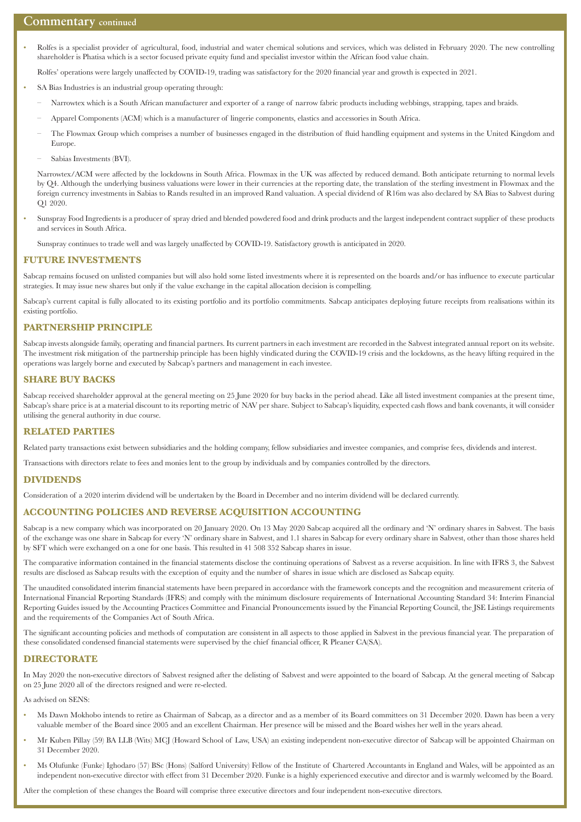#### **Commentary continued**

• Rolfes is a specialist provider of agricultural, food, industrial and water chemical solutions and services, which was delisted in February 2020. The new controlling shareholder is Phatisa which is a sector focused private equity fund and specialist investor within the African food value chain.

Rolfes' operations were largely unaffected by COVID-19, trading was satisfactory for the 2020 financial year and growth is expected in 2021.

- SA Bias Industries is an industrial group operating through:
	- Narrowtex which is a South African manufacturer and exporter of a range of narrow fabric products including webbings, strapping, tapes and braids.
	- Apparel Components (ACM) which is a manufacturer of lingerie components, elastics and accessories in South Africa.
	- The Flowmax Group which comprises a number of businesses engaged in the distribution of fluid handling equipment and systems in the United Kingdom and Europe.
	- Sabias Investments (BVI).

Narrowtex/ACM were affected by the lockdowns in South Africa. Flowmax in the UK was affected by reduced demand. Both anticipate returning to normal levels by Q4. Although the underlying business valuations were lower in their currencies at the reporting date, the translation of the sterling investment in Flowmax and the foreign currency investments in Sabias to Rands resulted in an improved Rand valuation. A special dividend of R16m was also declared by SA Bias to Sabvest during Q1 2020.

• Sunspray Food Ingredients is a producer of spray dried and blended powdered food and drink products and the largest independent contract supplier of these products and services in South Africa.

Sunspray continues to trade well and was largely unaffected by COVID-19. Satisfactory growth is anticipated in 2020.

#### **FUTURE INVESTMENTS**

Sabcap remains focused on unlisted companies but will also hold some listed investments where it is represented on the boards and/or has influence to execute particular strategies. It may issue new shares but only if the value exchange in the capital allocation decision is compelling.

Sabcap's current capital is fully allocated to its existing portfolio and its portfolio commitments. Sabcap anticipates deploying future receipts from realisations within its existing portfolio.

#### **PARTNERSHIP PRINCIPLE**

Sabcap invests alongside family, operating and financial partners. Its current partners in each investment are recorded in the Sabvest integrated annual report on its website. The investment risk mitigation of the partnership principle has been highly vindicated during the COVID-19 crisis and the lockdowns, as the heavy lifting required in the operations was largely borne and executed by Sabcap's partners and management in each investee.

#### **SHARE BUY BACKS**

Sabcap received shareholder approval at the general meeting on 25 June 2020 for buy backs in the period ahead. Like all listed investment companies at the present time, Sabcap's share price is at a material discount to its reporting metric of NAV per share. Subject to Sabcap's liquidity, expected cash flows and bank covenants, it will consider utilising the general authority in due course.

#### **RELATED PARTIES**

Related party transactions exist between subsidiaries and the holding company, fellow subsidiaries and investee companies, and comprise fees, dividends and interest.

Transactions with directors relate to fees and monies lent to the group by individuals and by companies controlled by the directors.

#### **DIVIDENDS**

Consideration of a 2020 interim dividend will be undertaken by the Board in December and no interim dividend will be declared currently.

#### **ACCOUNTING POLICIES AND REVERSE ACQUISITION ACCOUNTING**

Sabcap is a new company which was incorporated on 20 January 2020. On 13 May 2020 Sabcap acquired all the ordinary and 'N' ordinary shares in Sabvest. The basis of the exchange was one share in Sabcap for every 'N' ordinary share in Sabvest, and 1.1 shares in Sabcap for every ordinary share in Sabvest, other than those shares held by SFT which were exchanged on a one for one basis. This resulted in 41 508 352 Sabcap shares in issue.

The comparative information contained in the financial statements disclose the continuing operations of Sabvest as a reverse acquisition. In line with IFRS 3, the Sabvest results are disclosed as Sabcap results with the exception of equity and the number of shares in issue which are disclosed as Sabcap equity.

The unaudited consolidated interim financial statements have been prepared in accordance with the framework concepts and the recognition and measurement criteria of International Financial Reporting Standards (IFRS) and comply with the minimum disclosure requirements of International Accounting Standard 34: Interim Financial Reporting Guides issued by the Accounting Practices Committee and Financial Pronouncements issued by the Financial Reporting Council, the JSE Listings requirements and the requirements of the Companies Act of South Africa.

The significant accounting policies and methods of computation are consistent in all aspects to those applied in Sabvest in the previous financial year. The preparation of these consolidated condensed financial statements were supervised by the chief financial officer, R Pleaner CA(SA).

#### **DIRECTORATE**

In May 2020 the non-executive directors of Sabvest resigned after the delisting of Sabvest and were appointed to the board of Sabcap. At the general meeting of Sabcap on 25 June 2020 all of the directors resigned and were re-elected.

As advised on SENS:

- Ms Dawn Mokhobo intends to retire as Chairman of Sabcap, as a director and as a member of its Board committees on 31 December 2020. Dawn has been a very valuable member of the Board since 2005 and an excellent Chairman. Her presence will be missed and the Board wishes her well in the years ahead.
- Mr Kuben Pillay (59) BA LLB (Wits) MCJ (Howard School of Law, USA) an existing independent non-executive director of Sabcap will be appointed Chairman on 31 December 2020.
- Ms Olufunke (Funke) Ighodaro (57) BSc (Hons) (Salford University) Fellow of the Institute of Chartered Accountants in England and Wales, will be appointed as an independent non-executive director with effect from 31 December 2020. Funke is a highly experienced executive and director and is warmly welcomed by the Board.

After the completion of these changes the Board will comprise three executive directors and four independent non-executive directors.